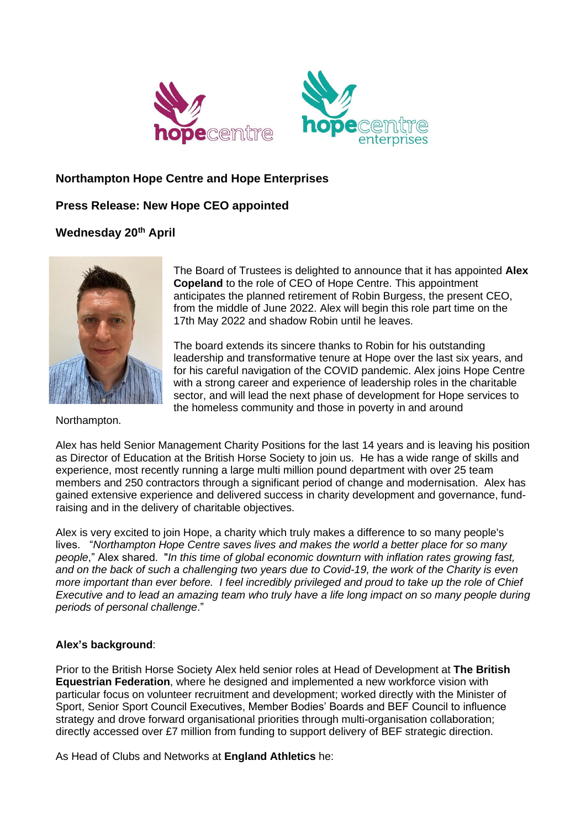

## **Northampton Hope Centre and Hope Enterprises**

## **Press Release: New Hope CEO appointed**

## **Wednesday 20th April**



The Board of Trustees is delighted to announce that it has appointed **Alex Copeland** to the role of CEO of Hope Centre. This appointment anticipates the planned retirement of Robin Burgess, the present CEO, from the middle of June 2022. Alex will begin this role part time on the 17th May 2022 and shadow Robin until he leaves.

The board extends its sincere thanks to Robin for his outstanding leadership and transformative tenure at Hope over the last six years, and for his careful navigation of the COVID pandemic. Alex joins Hope Centre with a strong career and experience of leadership roles in the charitable sector, and will lead the next phase of development for Hope services to the homeless community and those in poverty in and around

Northampton.

Alex has held Senior Management Charity Positions for the last 14 years and is leaving his position as Director of Education at the British Horse Society to join us. He has a wide range of skills and experience, most recently running a large multi million pound department with over 25 team members and 250 contractors through a significant period of change and modernisation. Alex has gained extensive experience and delivered success in charity development and governance, fundraising and in the delivery of charitable objectives.

Alex is very excited to join Hope, a charity which truly makes a difference to so many people's lives. "*Northampton Hope Centre saves lives and makes the world a better place for so many people*," Alex shared. "*In this time of global economic downturn with inflation rates growing fast, and on the back of such a challenging two years due to Covid-19, the work of the Charity is even more important than ever before. I feel incredibly privileged and proud to take up the role of Chief Executive and to lead an amazing team who truly have a life long impact on so many people during periods of personal challenge*."

## **Alex's background**:

Prior to the British Horse Society Alex held senior roles at Head of Development at **The British Equestrian Federation**, where he designed and implemented a new workforce vision with particular focus on volunteer recruitment and development; worked directly with the Minister of Sport, Senior Sport Council Executives, Member Bodies' Boards and BEF Council to influence strategy and drove forward organisational priorities through multi-organisation collaboration; directly accessed over £7 million from funding to support delivery of BEF strategic direction.

As Head of Clubs and Networks at **England Athletics** he: